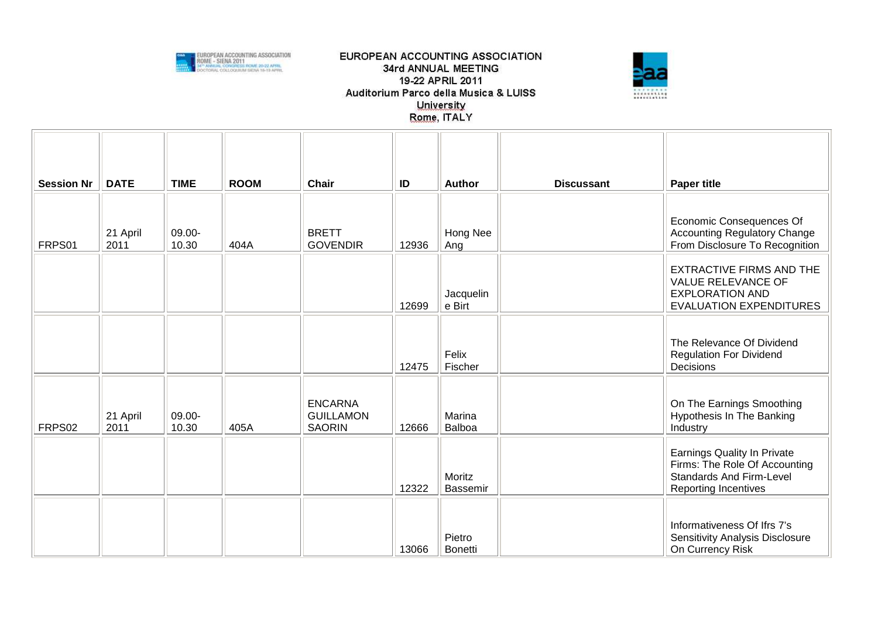



| <b>Session Nr</b> | <b>DATE</b>      | <b>TIME</b>     | <b>ROOM</b> | <b>Chair</b>                                        | ID    | <b>Author</b>             | <b>Discussant</b> | <b>Paper title</b>                                                                                                             |
|-------------------|------------------|-----------------|-------------|-----------------------------------------------------|-------|---------------------------|-------------------|--------------------------------------------------------------------------------------------------------------------------------|
| FRPS01            | 21 April<br>2011 | 09.00-<br>10.30 | 404A        | <b>BRETT</b><br><b>GOVENDIR</b>                     | 12936 | Hong Nee<br>Ang           |                   | Economic Consequences Of<br><b>Accounting Regulatory Change</b><br>From Disclosure To Recognition                              |
|                   |                  |                 |             |                                                     | 12699 | Jacquelin<br>e Birt       |                   | <b>EXTRACTIVE FIRMS AND THE</b><br>VALUE RELEVANCE OF<br><b>EXPLORATION AND</b><br><b>EVALUATION EXPENDITURES</b>              |
|                   |                  |                 |             |                                                     | 12475 | Felix<br>Fischer          |                   | The Relevance Of Dividend<br><b>Regulation For Dividend</b><br>Decisions                                                       |
| FRPS02            | 21 April<br>2011 | 09.00-<br>10.30 | 405A        | <b>ENCARNA</b><br><b>GUILLAMON</b><br><b>SAORIN</b> | 12666 | Marina<br>Balboa          |                   | On The Earnings Smoothing<br>Hypothesis In The Banking<br>Industry                                                             |
|                   |                  |                 |             |                                                     | 12322 | Moritz<br><b>Bassemir</b> |                   | Earnings Quality In Private<br>Firms: The Role Of Accounting<br><b>Standards And Firm-Level</b><br><b>Reporting Incentives</b> |
|                   |                  |                 |             |                                                     | 13066 | Pietro<br><b>Bonetti</b>  |                   | Informativeness Of Ifrs 7's<br>Sensitivity Analysis Disclosure<br>On Currency Risk                                             |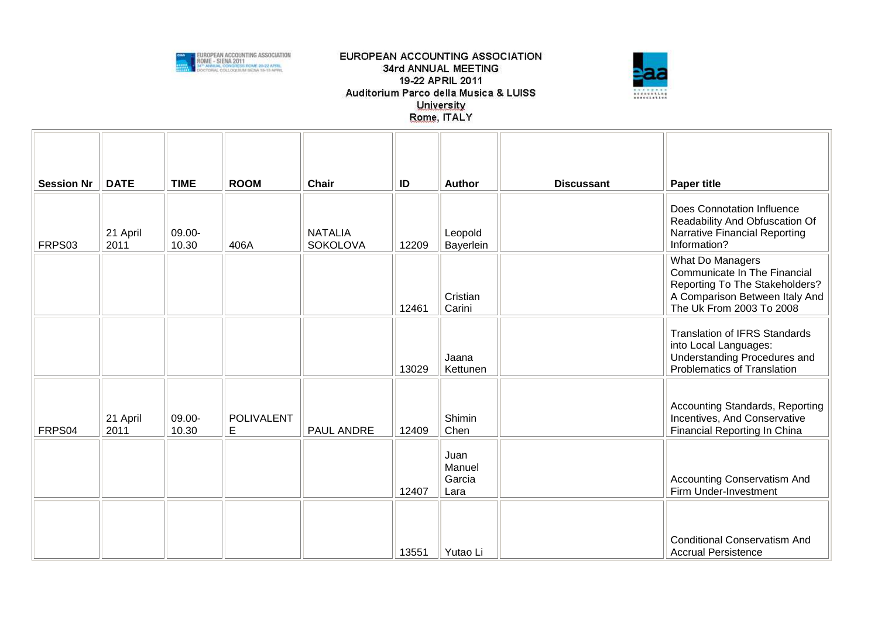



| <b>Session Nr</b> | <b>DATE</b>      | <b>TIME</b>     | <b>ROOM</b>            | <b>Chair</b>                      | ID    | <b>Author</b>                    | <b>Discussant</b> | <b>Paper title</b>                                                                                                                               |
|-------------------|------------------|-----------------|------------------------|-----------------------------------|-------|----------------------------------|-------------------|--------------------------------------------------------------------------------------------------------------------------------------------------|
| FRPS03            | 21 April<br>2011 | 09.00-<br>10.30 | 406A                   | <b>NATALIA</b><br><b>SOKOLOVA</b> | 12209 | Leopold<br>Bayerlein             |                   | Does Connotation Influence<br>Readability And Obfuscation Of<br>Narrative Financial Reporting<br>Information?                                    |
|                   |                  |                 |                        |                                   | 12461 | Cristian<br>Carini               |                   | What Do Managers<br>Communicate In The Financial<br>Reporting To The Stakeholders?<br>A Comparison Between Italy And<br>The Uk From 2003 To 2008 |
|                   |                  |                 |                        |                                   | 13029 | Jaana<br>Kettunen                |                   | <b>Translation of IFRS Standards</b><br>into Local Languages:<br>Understanding Procedures and<br>Problematics of Translation                     |
| FRPS04            | 21 April<br>2011 | 09.00-<br>10.30 | <b>POLIVALENT</b><br>E | PAUL ANDRE                        | 12409 | Shimin<br>Chen                   |                   | <b>Accounting Standards, Reporting</b><br>Incentives, And Conservative<br>Financial Reporting In China                                           |
|                   |                  |                 |                        |                                   | 12407 | Juan<br>Manuel<br>Garcia<br>Lara |                   | <b>Accounting Conservatism And</b><br>Firm Under-Investment                                                                                      |
|                   |                  |                 |                        |                                   | 13551 | Yutao Li                         |                   | <b>Conditional Conservatism And</b><br><b>Accrual Persistence</b>                                                                                |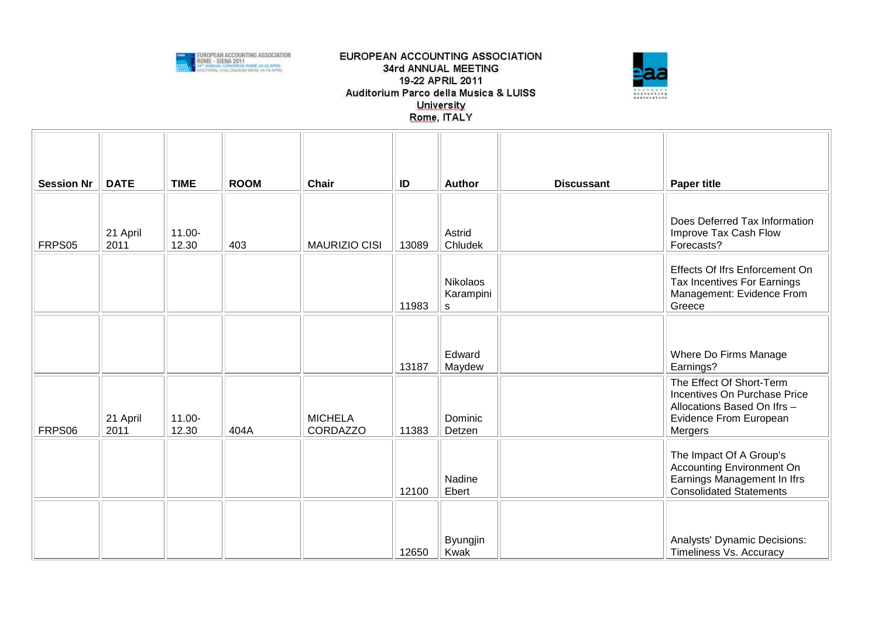



| <b>Session Nr</b> | <b>DATE</b>      | <b>TIME</b>        | <b>ROOM</b> | <b>Chair</b>                      | ID    | <b>Author</b>                     | <b>Discussant</b> | <b>Paper title</b>                                                                                                                  |
|-------------------|------------------|--------------------|-------------|-----------------------------------|-------|-----------------------------------|-------------------|-------------------------------------------------------------------------------------------------------------------------------------|
|                   |                  |                    |             |                                   |       |                                   |                   |                                                                                                                                     |
| FRPS05            | 21 April<br>2011 | $11.00 -$<br>12.30 | 403         | <b>MAURIZIO CISI</b>              | 13089 | Astrid<br>Chludek                 |                   | Does Deferred Tax Information<br>Improve Tax Cash Flow<br>Forecasts?                                                                |
|                   |                  |                    |             |                                   | 11983 | <b>Nikolaos</b><br>Karampini<br>s |                   | Effects Of Ifrs Enforcement On<br>Tax Incentives For Earnings<br>Management: Evidence From<br>Greece                                |
|                   |                  |                    |             |                                   |       |                                   |                   |                                                                                                                                     |
|                   |                  |                    |             |                                   | 13187 | Edward<br>Maydew                  |                   | Where Do Firms Manage<br>Earnings?                                                                                                  |
| FRPS06            | 21 April<br>2011 | $11.00 -$<br>12.30 | 404A        | <b>MICHELA</b><br><b>CORDAZZO</b> | 11383 | Dominic<br>Detzen                 |                   | The Effect Of Short-Term<br>Incentives On Purchase Price<br>Allocations Based On Ifrs -<br><b>Evidence From European</b><br>Mergers |
|                   |                  |                    |             |                                   | 12100 | Nadine<br>Ebert                   |                   | The Impact Of A Group's<br><b>Accounting Environment On</b><br>Earnings Management In Ifrs<br><b>Consolidated Statements</b>        |
|                   |                  |                    |             |                                   | 12650 | Byungjin<br>Kwak                  |                   | Analysts' Dynamic Decisions:<br>Timeliness Vs. Accuracy                                                                             |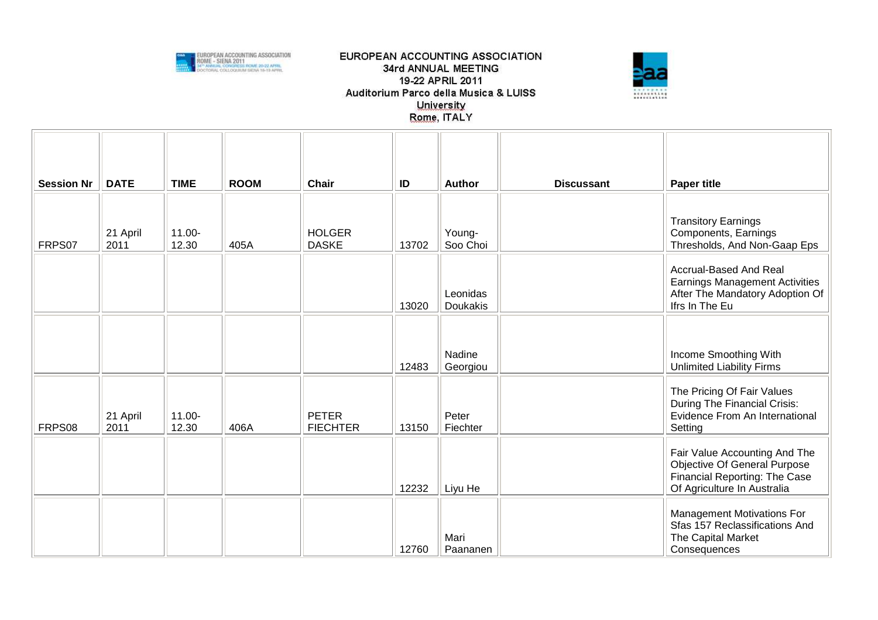



| <b>Session Nr</b> | <b>DATE</b>      | <b>TIME</b>     | <b>ROOM</b> | <b>Chair</b>                    | ID    | <b>Author</b>               | <b>Discussant</b> | <b>Paper title</b>                                                                                                            |
|-------------------|------------------|-----------------|-------------|---------------------------------|-------|-----------------------------|-------------------|-------------------------------------------------------------------------------------------------------------------------------|
| FRPS07            | 21 April<br>2011 | 11.00-<br>12.30 | 405A        | <b>HOLGER</b><br><b>DASKE</b>   | 13702 | Young-<br>Soo Choi          |                   | <b>Transitory Earnings</b><br>Components, Earnings<br>Thresholds, And Non-Gaap Eps                                            |
|                   |                  |                 |             |                                 | 13020 | Leonidas<br><b>Doukakis</b> |                   | Accrual-Based And Real<br><b>Earnings Management Activities</b><br>After The Mandatory Adoption Of<br>Ifrs In The Eu          |
|                   |                  |                 |             |                                 | 12483 | Nadine<br>Georgiou          |                   | Income Smoothing With<br><b>Unlimited Liability Firms</b>                                                                     |
| FRPS08            | 21 April<br>2011 | 11.00-<br>12.30 | 406A        | <b>PETER</b><br><b>FIECHTER</b> | 13150 | Peter<br>Fiechter           |                   | The Pricing Of Fair Values<br>During The Financial Crisis:<br>Evidence From An International<br>Setting                       |
|                   |                  |                 |             |                                 | 12232 | Liyu He                     |                   | Fair Value Accounting And The<br>Objective Of General Purpose<br>Financial Reporting: The Case<br>Of Agriculture In Australia |
|                   |                  |                 |             |                                 | 12760 | Mari<br>Paananen            |                   | <b>Management Motivations For</b><br>Sfas 157 Reclassifications And<br>The Capital Market<br>Consequences                     |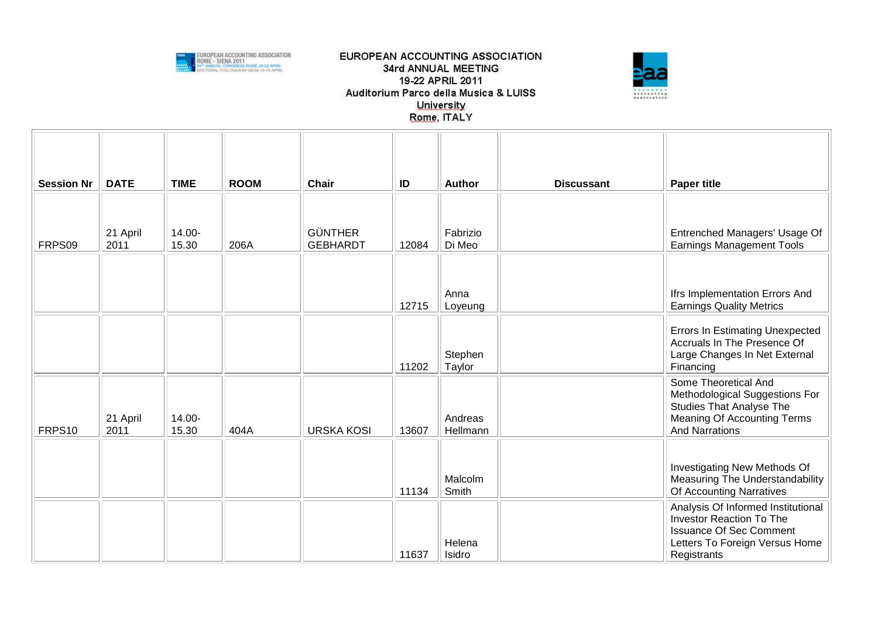



| <b>Session Nr</b> | <b>DATE</b>      | <b>TIME</b>     | <b>ROOM</b> | <b>Chair</b>                      | ID    | Author              | <b>Discussant</b> | <b>Paper title</b>                                                                                                                                       |
|-------------------|------------------|-----------------|-------------|-----------------------------------|-------|---------------------|-------------------|----------------------------------------------------------------------------------------------------------------------------------------------------------|
| FRPS09            | 21 April<br>2011 | 14.00-<br>15.30 | 206A        | <b>GÜNTHER</b><br><b>GEBHARDT</b> | 12084 | Fabrizio<br>Di Meo  |                   | Entrenched Managers' Usage Of<br><b>Earnings Management Tools</b>                                                                                        |
|                   |                  |                 |             |                                   | 12715 | Anna<br>Loyeung     |                   | Ifrs Implementation Errors And<br><b>Earnings Quality Metrics</b>                                                                                        |
|                   |                  |                 |             |                                   | 11202 | Stephen<br>Taylor   |                   | <b>Errors In Estimating Unexpected</b><br>Accruals In The Presence Of<br>Large Changes In Net External<br>Financing                                      |
| FRPS10            | 21 April<br>2011 | 14.00-<br>15.30 | 404A        | <b>URSKA KOSI</b>                 | 13607 | Andreas<br>Hellmann |                   | Some Theoretical And<br>Methodological Suggestions For<br><b>Studies That Analyse The</b><br>Meaning Of Accounting Terms<br><b>And Narrations</b>        |
|                   |                  |                 |             |                                   | 11134 | Malcolm<br>Smith    |                   | Investigating New Methods Of<br>Measuring The Understandability<br>Of Accounting Narratives                                                              |
|                   |                  |                 |             |                                   | 11637 | Helena<br>Isidro    |                   | Analysis Of Informed Institutional<br><b>Investor Reaction To The</b><br><b>Issuance Of Sec Comment</b><br>Letters To Foreign Versus Home<br>Registrants |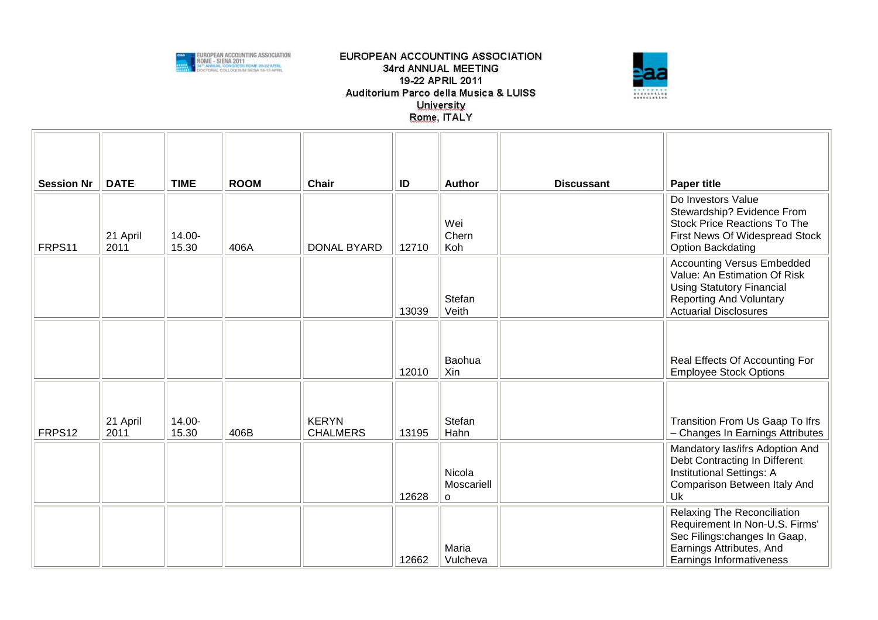



| <b>Session Nr</b> | <b>DATE</b>      | <b>TIME</b>     | <b>ROOM</b> | <b>Chair</b>                    | ID    | <b>Author</b>                   | <b>Discussant</b> | <b>Paper title</b>                                                                                                                                                      |
|-------------------|------------------|-----------------|-------------|---------------------------------|-------|---------------------------------|-------------------|-------------------------------------------------------------------------------------------------------------------------------------------------------------------------|
| FRPS11            | 21 April<br>2011 | 14.00-<br>15.30 | 406A        | <b>DONAL BYARD</b>              | 12710 | Wei<br>Chern<br>Koh             |                   | Do Investors Value<br>Stewardship? Evidence From<br><b>Stock Price Reactions To The</b><br>First News Of Widespread Stock<br><b>Option Backdating</b>                   |
|                   |                  |                 |             |                                 | 13039 | Stefan<br>Veith                 |                   | <b>Accounting Versus Embedded</b><br>Value: An Estimation Of Risk<br><b>Using Statutory Financial</b><br><b>Reporting And Voluntary</b><br><b>Actuarial Disclosures</b> |
|                   |                  |                 |             |                                 | 12010 | Baohua<br>Xin                   |                   | Real Effects Of Accounting For<br><b>Employee Stock Options</b>                                                                                                         |
| FRPS12            | 21 April<br>2011 | 14.00-<br>15.30 | 406B        | <b>KERYN</b><br><b>CHALMERS</b> | 13195 | Stefan<br>Hahn                  |                   | Transition From Us Gaap To Ifrs<br>- Changes In Earnings Attributes                                                                                                     |
|                   |                  |                 |             |                                 | 12628 | Nicola<br>Moscariell<br>$\circ$ |                   | Mandatory las/ifrs Adoption And<br>Debt Contracting In Different<br><b>Institutional Settings: A</b><br>Comparison Between Italy And<br>Uk                              |
|                   |                  |                 |             |                                 | 12662 | Maria<br>Vulcheva               |                   | Relaxing The Reconciliation<br>Requirement In Non-U.S. Firms'<br>Sec Filings: changes In Gaap,<br>Earnings Attributes, And<br>Earnings Informativeness                  |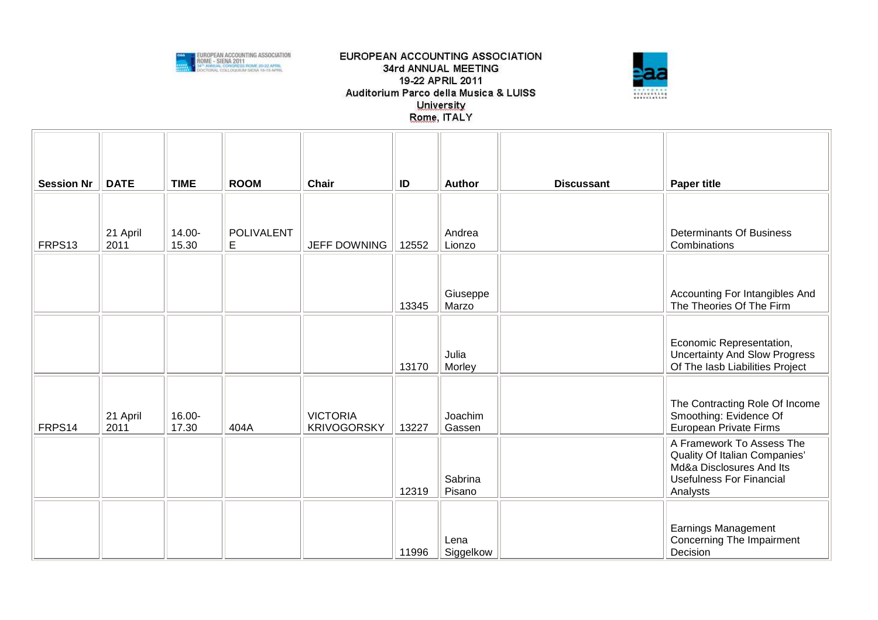



| <b>Session Nr</b> | <b>DATE</b>      | <b>TIME</b>     | <b>ROOM</b>             | Chair                                 | ID    | <b>Author</b>     | <b>Discussant</b> | <b>Paper title</b>                                                                                                                    |
|-------------------|------------------|-----------------|-------------------------|---------------------------------------|-------|-------------------|-------------------|---------------------------------------------------------------------------------------------------------------------------------------|
|                   |                  |                 |                         |                                       |       |                   |                   |                                                                                                                                       |
| FRPS13            | 21 April<br>2011 | 14.00-<br>15.30 | <b>POLIVALENT</b><br>E. | <b>JEFF DOWNING</b>                   | 12552 | Andrea<br>Lionzo  |                   | <b>Determinants Of Business</b><br>Combinations                                                                                       |
|                   |                  |                 |                         |                                       |       | Giuseppe          |                   | Accounting For Intangibles And                                                                                                        |
|                   |                  |                 |                         |                                       | 13345 | Marzo             |                   | The Theories Of The Firm                                                                                                              |
|                   |                  |                 |                         |                                       | 13170 | Julia<br>Morley   |                   | Economic Representation,<br><b>Uncertainty And Slow Progress</b><br>Of The lasb Liabilities Project                                   |
| FRPS14            | 21 April<br>2011 | 16.00-<br>17.30 | 404A                    | <b>VICTORIA</b><br><b>KRIVOGORSKY</b> | 13227 | Joachim<br>Gassen |                   | The Contracting Role Of Income<br>Smoothing: Evidence Of<br>European Private Firms                                                    |
|                   |                  |                 |                         |                                       | 12319 | Sabrina<br>Pisano |                   | A Framework To Assess The<br>Quality Of Italian Companies'<br>Md&a Disclosures And Its<br><b>Usefulness For Financial</b><br>Analysts |
|                   |                  |                 |                         |                                       | 11996 | Lena<br>Siggelkow |                   | Earnings Management<br>Concerning The Impairment<br>Decision                                                                          |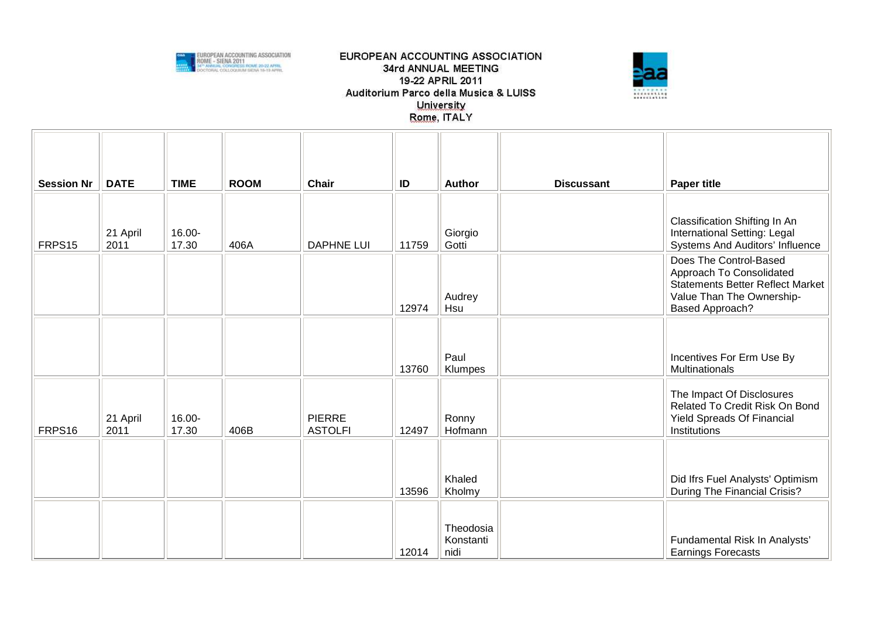



| <b>Session Nr</b> | <b>DATE</b>      | <b>TIME</b>     | <b>ROOM</b> | <b>Chair</b>                    | ID    | Author                         | <b>Discussant</b> | <b>Paper title</b>                                                                                                                                   |
|-------------------|------------------|-----------------|-------------|---------------------------------|-------|--------------------------------|-------------------|------------------------------------------------------------------------------------------------------------------------------------------------------|
| FRPS15            | 21 April<br>2011 | 16.00-<br>17.30 | 406A        | <b>DAPHNE LUI</b>               | 11759 | Giorgio<br>Gotti               |                   | Classification Shifting In An<br>International Setting: Legal<br>Systems And Auditors' Influence                                                     |
|                   |                  |                 |             |                                 | 12974 | Audrey<br>Hsu                  |                   | Does The Control-Based<br>Approach To Consolidated<br><b>Statements Better Reflect Market</b><br>Value Than The Ownership-<br><b>Based Approach?</b> |
|                   |                  |                 |             |                                 | 13760 | Paul<br>Klumpes                |                   | Incentives For Erm Use By<br>Multinationals                                                                                                          |
| FRPS16            | 21 April<br>2011 | 16.00-<br>17.30 | 406B        | <b>PIERRE</b><br><b>ASTOLFI</b> | 12497 | Ronny<br>Hofmann               |                   | The Impact Of Disclosures<br>Related To Credit Risk On Bond<br><b>Yield Spreads Of Financial</b><br>Institutions                                     |
|                   |                  |                 |             |                                 | 13596 | Khaled<br>Kholmy               |                   | Did Ifrs Fuel Analysts' Optimism<br>During The Financial Crisis?                                                                                     |
|                   |                  |                 |             |                                 | 12014 | Theodosia<br>Konstanti<br>nidi |                   | Fundamental Risk In Analysts'<br><b>Earnings Forecasts</b>                                                                                           |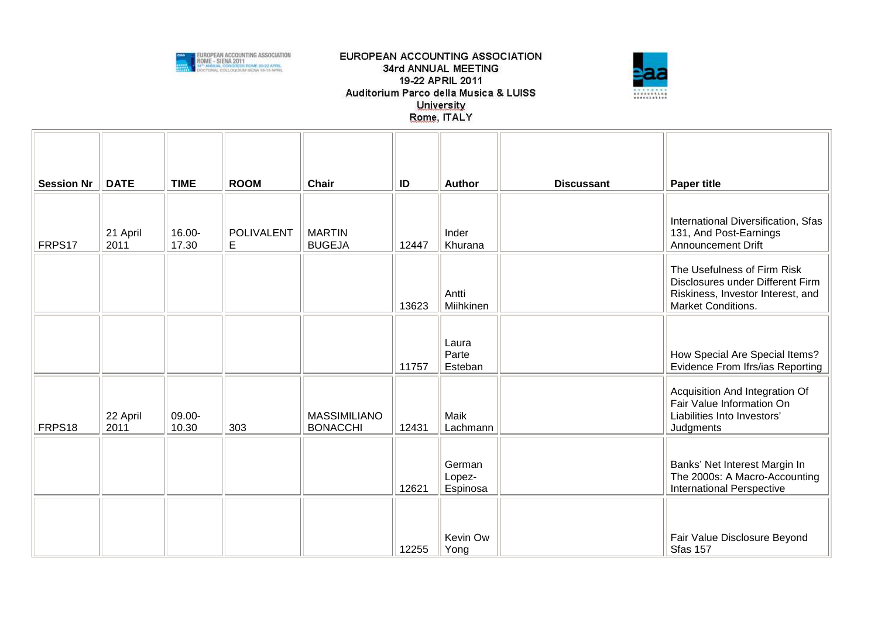



| <b>Session Nr</b> | <b>DATE</b>      | <b>TIME</b>     | <b>ROOM</b>      | <b>Chair</b>                           | ID    | <b>Author</b>                | <b>Discussant</b> | <b>Paper title</b>                                                                                                         |
|-------------------|------------------|-----------------|------------------|----------------------------------------|-------|------------------------------|-------------------|----------------------------------------------------------------------------------------------------------------------------|
| FRPS17            | 21 April<br>2011 | 16.00-<br>17.30 | POLIVALENT<br>E. | <b>MARTIN</b><br><b>BUGEJA</b>         | 12447 | Inder<br>Khurana             |                   | International Diversification, Sfas<br>131, And Post-Earnings<br><b>Announcement Drift</b>                                 |
|                   |                  |                 |                  |                                        | 13623 | Antti<br>Miihkinen           |                   | The Usefulness of Firm Risk<br>Disclosures under Different Firm<br>Riskiness, Investor Interest, and<br>Market Conditions. |
|                   |                  |                 |                  |                                        | 11757 | Laura<br>Parte<br>Esteban    |                   | How Special Are Special Items?<br>Evidence From Ifrs/ias Reporting                                                         |
| FRPS18            | 22 April<br>2011 | 09.00-<br>10.30 | 303              | <b>MASSIMILIANO</b><br><b>BONACCHI</b> | 12431 | Maik<br>Lachmann             |                   | Acquisition And Integration Of<br>Fair Value Information On<br>Liabilities Into Investors'<br>Judgments                    |
|                   |                  |                 |                  |                                        | 12621 | German<br>Lopez-<br>Espinosa |                   | Banks' Net Interest Margin In<br>The 2000s: A Macro-Accounting<br><b>International Perspective</b>                         |
|                   |                  |                 |                  |                                        | 12255 | Kevin Ow<br>Yong             |                   | Fair Value Disclosure Beyond<br><b>Sfas 157</b>                                                                            |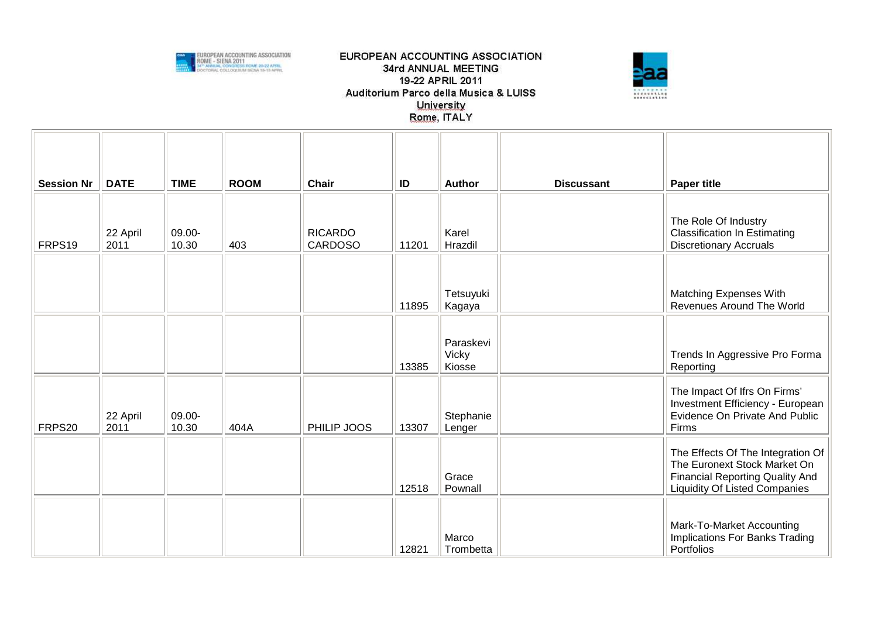



| <b>Session Nr</b> | <b>DATE</b>      | <b>TIME</b>     | <b>ROOM</b> | <b>Chair</b>                     | ID    | Author                       | <b>Discussant</b> | <b>Paper title</b>                                                                                                                                  |
|-------------------|------------------|-----------------|-------------|----------------------------------|-------|------------------------------|-------------------|-----------------------------------------------------------------------------------------------------------------------------------------------------|
| FRPS19            | 22 April<br>2011 | 09.00-<br>10.30 | 403         | <b>RICARDO</b><br><b>CARDOSO</b> | 11201 | Karel<br>Hrazdil             |                   | The Role Of Industry<br><b>Classification In Estimating</b><br><b>Discretionary Accruals</b>                                                        |
|                   |                  |                 |             |                                  | 11895 | Tetsuyuki<br>Kagaya          |                   | Matching Expenses With<br>Revenues Around The World                                                                                                 |
|                   |                  |                 |             |                                  | 13385 | Paraskevi<br>Vicky<br>Kiosse |                   | Trends In Aggressive Pro Forma<br>Reporting                                                                                                         |
| FRPS20            | 22 April<br>2011 | 09.00-<br>10.30 | 404A        | PHILIP JOOS                      | 13307 | Stephanie<br>Lenger          |                   | The Impact Of Ifrs On Firms'<br>Investment Efficiency - European<br>Evidence On Private And Public<br>Firms                                         |
|                   |                  |                 |             |                                  | 12518 | Grace<br>Pownall             |                   | The Effects Of The Integration Of<br>The Euronext Stock Market On<br><b>Financial Reporting Quality And</b><br><b>Liquidity Of Listed Companies</b> |
|                   |                  |                 |             |                                  | 12821 | Marco<br>Trombetta           |                   | Mark-To-Market Accounting<br>Implications For Banks Trading<br><b>Portfolios</b>                                                                    |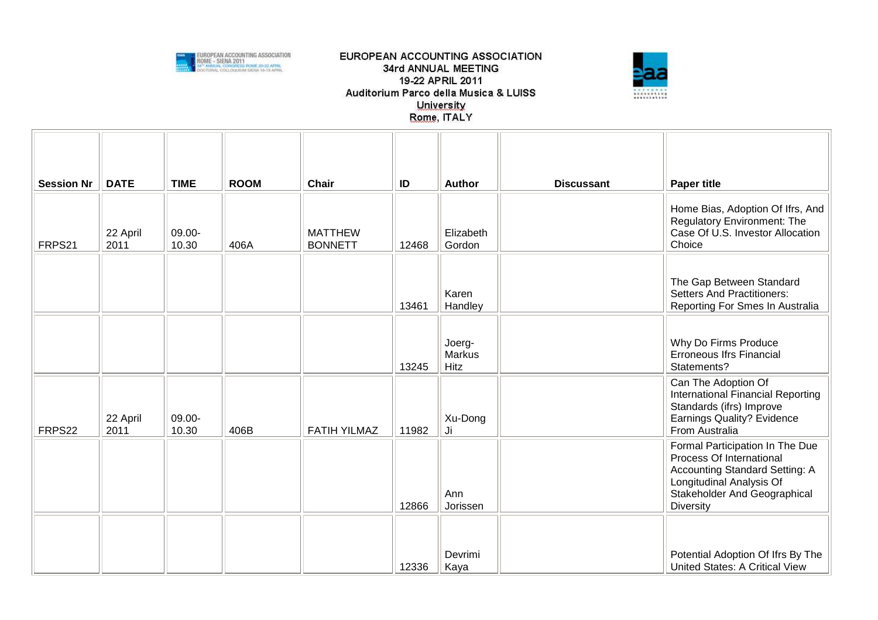



| <b>Session Nr</b> | <b>DATE</b>      | <b>TIME</b>     | <b>ROOM</b> | <b>Chair</b>                     | ID    | <b>Author</b>                   | <b>Discussant</b> | <b>Paper title</b>                                                                                                                                                     |
|-------------------|------------------|-----------------|-------------|----------------------------------|-------|---------------------------------|-------------------|------------------------------------------------------------------------------------------------------------------------------------------------------------------------|
| FRPS21            | 22 April<br>2011 | 09.00-<br>10.30 | 406A        | <b>MATTHEW</b><br><b>BONNETT</b> | 12468 | Elizabeth<br>Gordon             |                   | Home Bias, Adoption Of Ifrs, And<br>Regulatory Environment: The<br>Case Of U.S. Investor Allocation<br>Choice                                                          |
|                   |                  |                 |             |                                  | 13461 | Karen<br>Handley                |                   | The Gap Between Standard<br><b>Setters And Practitioners:</b><br>Reporting For Smes In Australia                                                                       |
|                   |                  |                 |             |                                  | 13245 | Joerg-<br><b>Markus</b><br>Hitz |                   | Why Do Firms Produce<br><b>Erroneous Ifrs Financial</b><br>Statements?                                                                                                 |
| FRPS22            | 22 April<br>2011 | 09.00-<br>10.30 | 406B        | <b>FATIH YILMAZ</b>              | 11982 | Xu-Dong<br>Ji                   |                   | Can The Adoption Of<br>International Financial Reporting<br>Standards (ifrs) Improve<br>Earnings Quality? Evidence<br>From Australia                                   |
|                   |                  |                 |             |                                  | 12866 | Ann<br>Jorissen                 |                   | Formal Participation In The Due<br>Process Of International<br>Accounting Standard Setting: A<br>Longitudinal Analysis Of<br>Stakeholder And Geographical<br>Diversity |
|                   |                  |                 |             |                                  | 12336 | Devrimi<br>Kaya                 |                   | Potential Adoption Of Ifrs By The<br>United States: A Critical View                                                                                                    |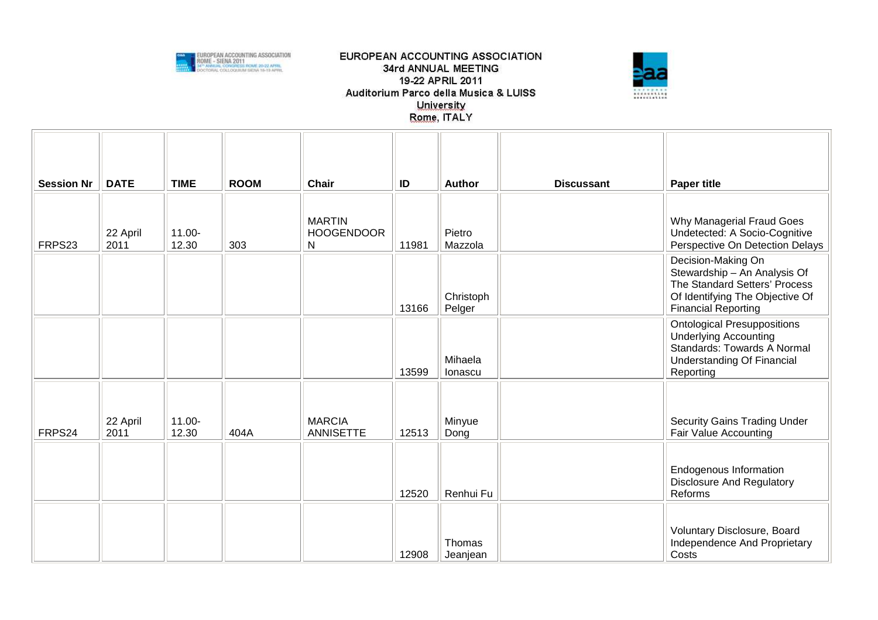



| <b>Session Nr</b> | <b>DATE</b>      | <b>TIME</b>     | <b>ROOM</b> | <b>Chair</b>                            | ID    | Author              | <b>Discussant</b> | <b>Paper title</b>                                                                                                                                   |
|-------------------|------------------|-----------------|-------------|-----------------------------------------|-------|---------------------|-------------------|------------------------------------------------------------------------------------------------------------------------------------------------------|
| FRPS23            | 22 April<br>2011 | 11.00-<br>12.30 | 303         | <b>MARTIN</b><br><b>HOOGENDOOR</b><br>N | 11981 | Pietro<br>Mazzola   |                   | Why Managerial Fraud Goes<br>Undetected: A Socio-Cognitive<br>Perspective On Detection Delays                                                        |
|                   |                  |                 |             |                                         | 13166 | Christoph<br>Pelger |                   | Decision-Making On<br>Stewardship - An Analysis Of<br>The Standard Setters' Process<br>Of Identifying The Objective Of<br><b>Financial Reporting</b> |
|                   |                  |                 |             |                                         | 13599 | Mihaela<br>Ionascu  |                   | <b>Ontological Presuppositions</b><br><b>Underlying Accounting</b><br>Standards: Towards A Normal<br><b>Understanding Of Financial</b><br>Reporting  |
| FRPS24            | 22 April<br>2011 | 11.00-<br>12.30 | 404A        | <b>MARCIA</b><br><b>ANNISETTE</b>       | 12513 | Minyue<br>Dong      |                   | <b>Security Gains Trading Under</b><br>Fair Value Accounting                                                                                         |
|                   |                  |                 |             |                                         | 12520 | Renhui Fu           |                   | Endogenous Information<br><b>Disclosure And Regulatory</b><br>Reforms                                                                                |
|                   |                  |                 |             |                                         | 12908 | Thomas<br>Jeanjean  |                   | Voluntary Disclosure, Board<br>Independence And Proprietary<br>Costs                                                                                 |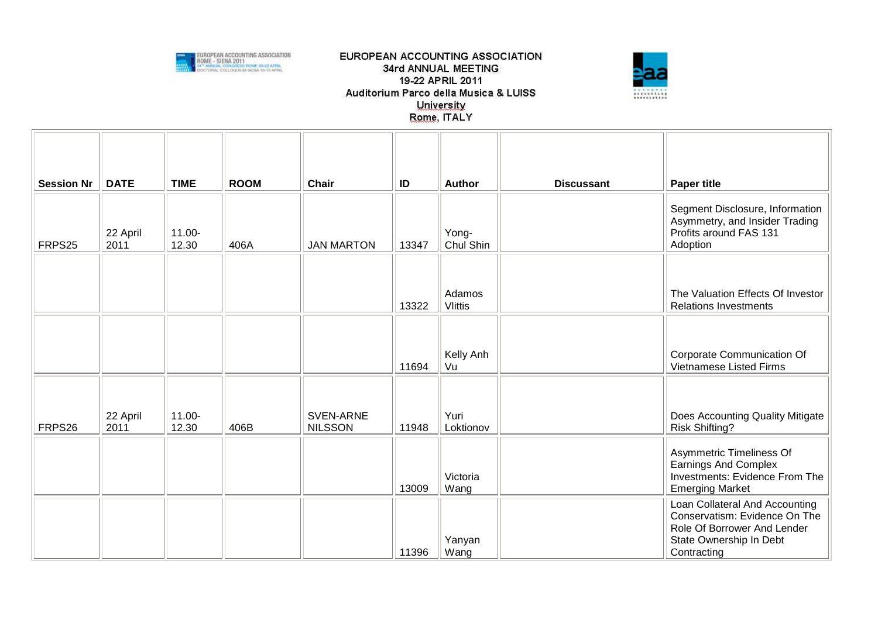



| <b>Session Nr</b> | <b>DATE</b>      | <b>TIME</b>        | <b>ROOM</b> | Chair                       | ID    | Author                   | <b>Discussant</b> | <b>Paper title</b>                                                                                                                       |
|-------------------|------------------|--------------------|-------------|-----------------------------|-------|--------------------------|-------------------|------------------------------------------------------------------------------------------------------------------------------------------|
| FRPS25            | 22 April<br>2011 | 11.00-<br>12.30    | 406A        | <b>JAN MARTON</b>           | 13347 | Yong-<br>Chul Shin       |                   | Segment Disclosure, Information<br>Asymmetry, and Insider Trading<br>Profits around FAS 131<br>Adoption                                  |
|                   |                  |                    |             |                             |       |                          |                   |                                                                                                                                          |
|                   |                  |                    |             |                             | 13322 | Adamos<br><b>Vlittis</b> |                   | The Valuation Effects Of Investor<br><b>Relations Investments</b>                                                                        |
|                   |                  |                    |             |                             |       |                          |                   |                                                                                                                                          |
|                   |                  |                    |             |                             |       |                          |                   |                                                                                                                                          |
|                   |                  |                    |             |                             | 11694 | Kelly Anh<br>Vu          |                   | Corporate Communication Of<br>Vietnamese Listed Firms                                                                                    |
|                   |                  |                    |             |                             |       |                          |                   |                                                                                                                                          |
| FRPS26            | 22 April<br>2011 | $11.00 -$<br>12.30 | 406B        | SVEN-ARNE<br><b>NILSSON</b> | 11948 | Yuri<br>Loktionov        |                   | Does Accounting Quality Mitigate<br><b>Risk Shifting?</b>                                                                                |
|                   |                  |                    |             |                             | 13009 | Victoria<br>Wang         |                   | Asymmetric Timeliness Of<br><b>Earnings And Complex</b><br>Investments: Evidence From The<br><b>Emerging Market</b>                      |
|                   |                  |                    |             |                             | 11396 | Yanyan<br>Wang           |                   | Loan Collateral And Accounting<br>Conservatism: Evidence On The<br>Role Of Borrower And Lender<br>State Ownership In Debt<br>Contracting |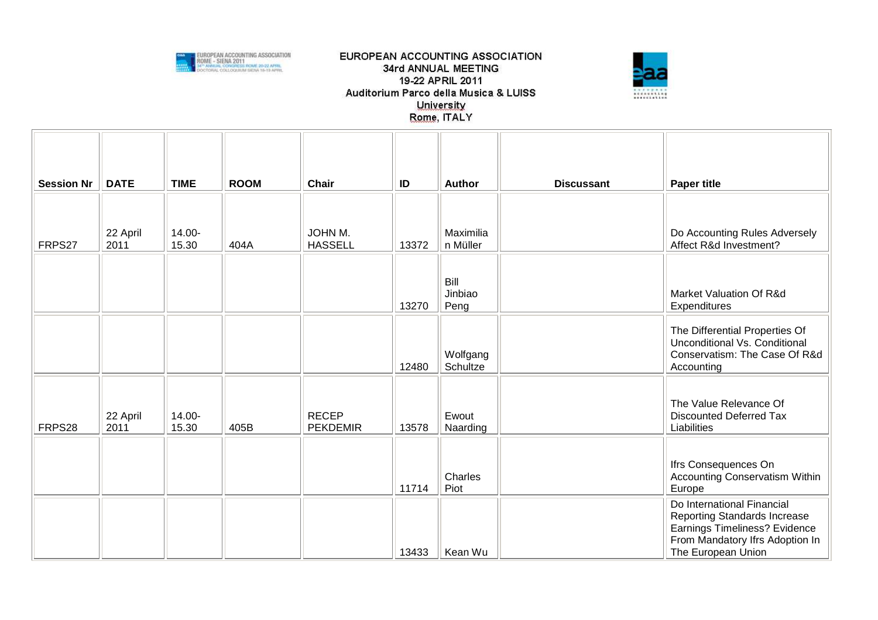



| <b>Session Nr</b> | <b>DATE</b>      | <b>TIME</b>     | <b>ROOM</b> | <b>Chair</b>                    | ID    | <b>Author</b>           | <b>Discussant</b> | <b>Paper title</b>                                                                                                                                   |
|-------------------|------------------|-----------------|-------------|---------------------------------|-------|-------------------------|-------------------|------------------------------------------------------------------------------------------------------------------------------------------------------|
|                   |                  |                 |             |                                 |       |                         |                   |                                                                                                                                                      |
| FRPS27            | 22 April<br>2011 | 14.00-<br>15.30 | 404A        | JOHN M.<br><b>HASSELL</b>       | 13372 | Maximilia<br>n Müller   |                   | Do Accounting Rules Adversely<br>Affect R&d Investment?                                                                                              |
|                   |                  |                 |             |                                 | 13270 | Bill<br>Jinbiao<br>Peng |                   | Market Valuation Of R&d<br>Expenditures                                                                                                              |
|                   |                  |                 |             |                                 | 12480 | Wolfgang<br>Schultze    |                   | The Differential Properties Of<br>Unconditional Vs. Conditional<br>Conservatism: The Case Of R&d<br>Accounting                                       |
| FRPS28            | 22 April<br>2011 | 14.00-<br>15.30 | 405B        | <b>RECEP</b><br><b>PEKDEMIR</b> | 13578 | Ewout<br>Naarding       |                   | The Value Relevance Of<br><b>Discounted Deferred Tax</b><br>Liabilities                                                                              |
|                   |                  |                 |             |                                 | 11714 | Charles<br>Piot         |                   | Ifrs Consequences On<br><b>Accounting Conservatism Within</b><br>Europe                                                                              |
|                   |                  |                 |             |                                 | 13433 | Kean Wu                 |                   | Do International Financial<br>Reporting Standards Increase<br>Earnings Timeliness? Evidence<br>From Mandatory Ifrs Adoption In<br>The European Union |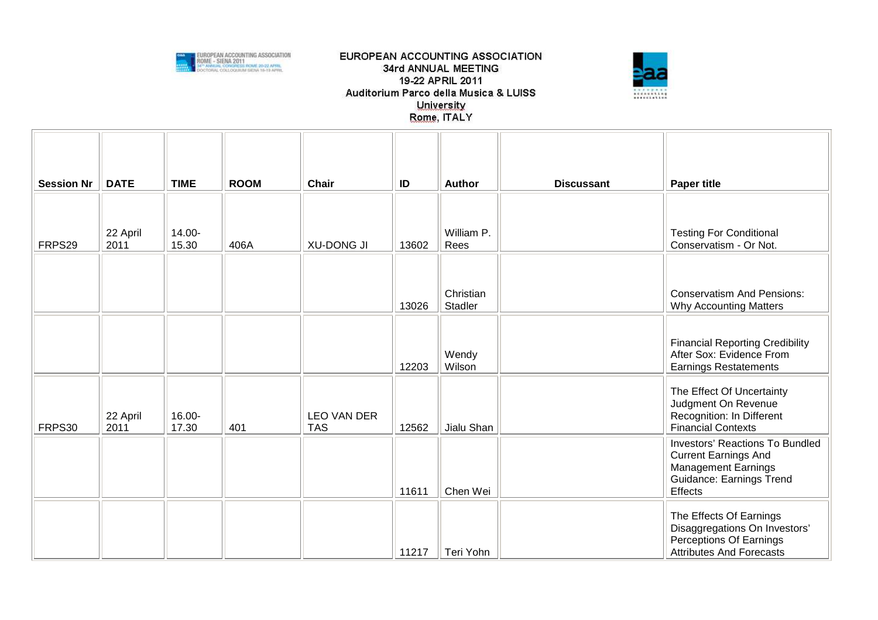



| <b>Session Nr</b> | <b>DATE</b>      | <b>TIME</b>     | <b>ROOM</b> | <b>Chair</b>              | ID    | <b>Author</b>        | <b>Discussant</b> | <b>Paper title</b>                                                                                                                         |
|-------------------|------------------|-----------------|-------------|---------------------------|-------|----------------------|-------------------|--------------------------------------------------------------------------------------------------------------------------------------------|
| FRPS29            | 22 April<br>2011 | 14.00-<br>15.30 | 406A        | <b>XU-DONG JI</b>         | 13602 | William P.<br>Rees   |                   | <b>Testing For Conditional</b><br>Conservatism - Or Not.                                                                                   |
|                   |                  |                 |             |                           | 13026 | Christian<br>Stadler |                   | <b>Conservatism And Pensions:</b><br><b>Why Accounting Matters</b>                                                                         |
|                   |                  |                 |             |                           | 12203 | Wendy<br>Wilson      |                   | <b>Financial Reporting Credibility</b><br>After Sox: Evidence From<br><b>Earnings Restatements</b>                                         |
| FRPS30            | 22 April<br>2011 | 16.00-<br>17.30 | 401         | LEO VAN DER<br><b>TAS</b> | 12562 | Jialu Shan           |                   | The Effect Of Uncertainty<br>Judgment On Revenue<br>Recognition: In Different<br><b>Financial Contexts</b>                                 |
|                   |                  |                 |             |                           | 11611 | Chen Wei             |                   | <b>Investors' Reactions To Bundled</b><br><b>Current Earnings And</b><br><b>Management Earnings</b><br>Guidance: Earnings Trend<br>Effects |
|                   |                  |                 |             |                           | 11217 | Teri Yohn            |                   | The Effects Of Earnings<br>Disaggregations On Investors'<br>Perceptions Of Earnings<br><b>Attributes And Forecasts</b>                     |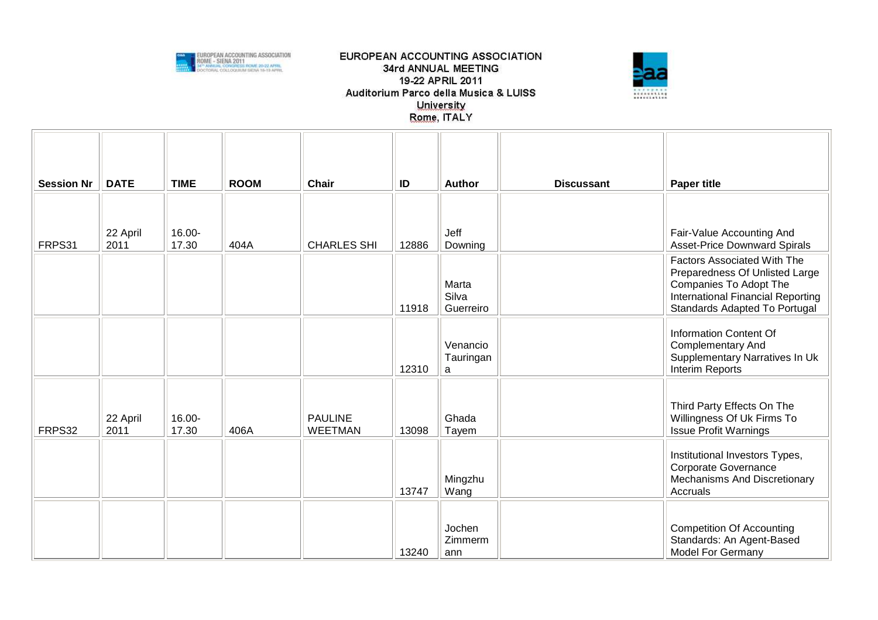



| <b>Session Nr</b> | <b>DATE</b>      | <b>TIME</b>     | <b>ROOM</b> | <b>Chair</b>                     | ID    | <b>Author</b>               | <b>Discussant</b> | <b>Paper title</b>                                                                                                                                                   |
|-------------------|------------------|-----------------|-------------|----------------------------------|-------|-----------------------------|-------------------|----------------------------------------------------------------------------------------------------------------------------------------------------------------------|
| FRPS31            | 22 April<br>2011 | 16.00-<br>17.30 | 404A        | <b>CHARLES SHI</b>               | 12886 | Jeff<br>Downing             |                   | Fair-Value Accounting And<br><b>Asset-Price Downward Spirals</b>                                                                                                     |
|                   |                  |                 |             |                                  | 11918 | Marta<br>Silva<br>Guerreiro |                   | <b>Factors Associated With The</b><br>Preparedness Of Unlisted Large<br>Companies To Adopt The<br>International Financial Reporting<br>Standards Adapted To Portugal |
|                   |                  |                 |             |                                  | 12310 | Venancio<br>Tauringan<br>a  |                   | <b>Information Content Of</b><br><b>Complementary And</b><br>Supplementary Narratives In Uk<br>Interim Reports                                                       |
| FRPS32            | 22 April<br>2011 | 16.00-<br>17.30 | 406A        | <b>PAULINE</b><br><b>WEETMAN</b> | 13098 | Ghada<br>Tayem              |                   | Third Party Effects On The<br>Willingness Of Uk Firms To<br><b>Issue Profit Warnings</b>                                                                             |
|                   |                  |                 |             |                                  | 13747 | Mingzhu<br>Wang             |                   | Institutional Investors Types,<br>Corporate Governance<br>Mechanisms And Discretionary<br>Accruals                                                                   |
|                   |                  |                 |             |                                  | 13240 | Jochen<br>Zimmerm<br>ann    |                   | <b>Competition Of Accounting</b><br>Standards: An Agent-Based<br><b>Model For Germany</b>                                                                            |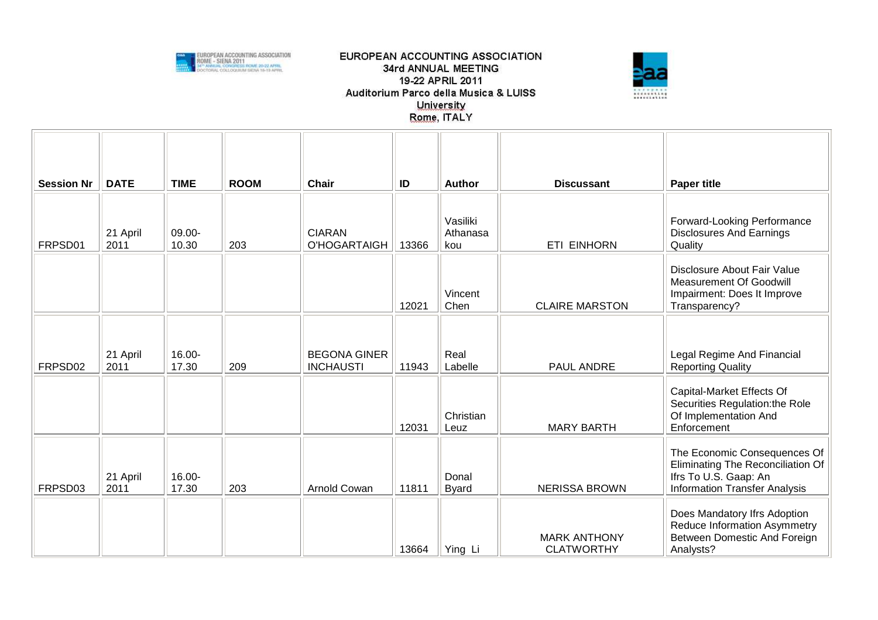



| <b>Session Nr</b> | <b>DATE</b>      | <b>TIME</b>     | <b>ROOM</b> | <b>Chair</b>                            | ID    | Author                      | <b>Discussant</b>                        | <b>Paper title</b>                                                                                                                 |
|-------------------|------------------|-----------------|-------------|-----------------------------------------|-------|-----------------------------|------------------------------------------|------------------------------------------------------------------------------------------------------------------------------------|
| FRPSD01           | 21 April<br>2011 | 09.00-<br>10.30 | 203         | <b>CIARAN</b><br>O'HOGARTAIGH           | 13366 | Vasiliki<br>Athanasa<br>kou | <b>ETI EINHORN</b>                       | Forward-Looking Performance<br><b>Disclosures And Earnings</b><br>Quality                                                          |
|                   |                  |                 |             |                                         | 12021 | Vincent<br>Chen             | <b>CLAIRE MARSTON</b>                    | Disclosure About Fair Value<br>Measurement Of Goodwill<br>Impairment: Does It Improve<br>Transparency?                             |
| FRPSD02           | 21 April<br>2011 | 16.00-<br>17.30 | 209         | <b>BEGONA GINER</b><br><b>INCHAUSTI</b> | 11943 | Real<br>Labelle             | PAUL ANDRE                               | Legal Regime And Financial<br><b>Reporting Quality</b>                                                                             |
|                   |                  |                 |             |                                         | 12031 | Christian<br>Leuz           | <b>MARY BARTH</b>                        | Capital-Market Effects Of<br>Securities Regulation: the Role<br>Of Implementation And<br>Enforcement                               |
| FRPSD03           | 21 April<br>2011 | 16.00-<br>17.30 | 203         | Arnold Cowan                            | 11811 | Donal<br><b>Byard</b>       | <b>NERISSA BROWN</b>                     | The Economic Consequences Of<br>Eliminating The Reconciliation Of<br>Ifrs To U.S. Gaap: An<br><b>Information Transfer Analysis</b> |
|                   |                  |                 |             |                                         | 13664 | Ying Li                     | <b>MARK ANTHONY</b><br><b>CLATWORTHY</b> | Does Mandatory Ifrs Adoption<br>Reduce Information Asymmetry<br>Between Domestic And Foreign<br>Analysts?                          |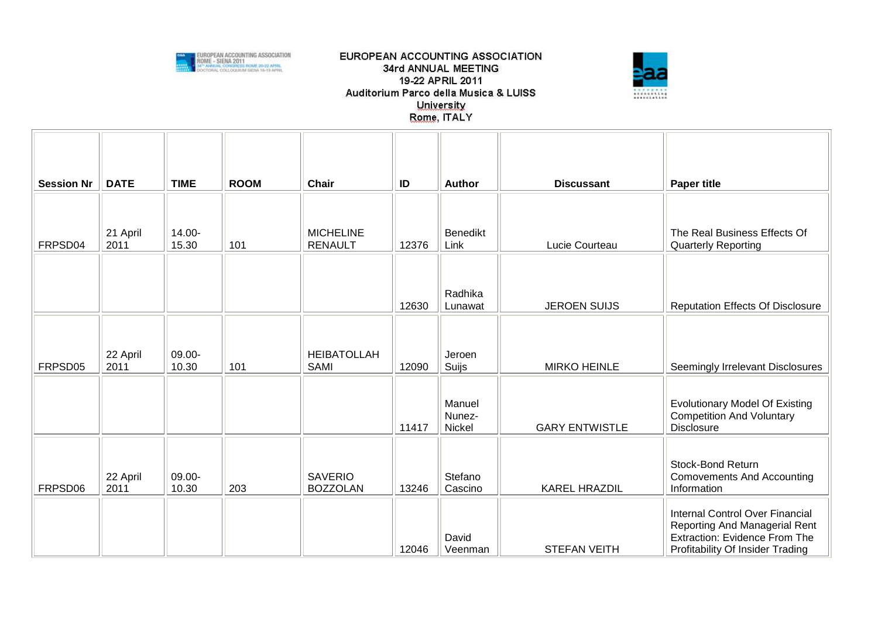



| <b>Session Nr</b> | <b>DATE</b>      | <b>TIME</b>     | <b>ROOM</b> | <b>Chair</b>                       | ID    | <b>Author</b>              | <b>Discussant</b>     | <b>Paper title</b>                                                                                                                           |
|-------------------|------------------|-----------------|-------------|------------------------------------|-------|----------------------------|-----------------------|----------------------------------------------------------------------------------------------------------------------------------------------|
| FRPSD04           | 21 April<br>2011 | 14.00-<br>15.30 | 101         | <b>MICHELINE</b><br><b>RENAULT</b> | 12376 | Benedikt<br>Link           | Lucie Courteau        | The Real Business Effects Of<br><b>Quarterly Reporting</b>                                                                                   |
|                   |                  |                 |             |                                    | 12630 | Radhika<br>Lunawat         | <b>JEROEN SUIJS</b>   | <b>Reputation Effects Of Disclosure</b>                                                                                                      |
| FRPSD05           | 22 April<br>2011 | 09.00-<br>10.30 | 101         | <b>HEIBATOLLAH</b><br><b>SAMI</b>  | 12090 | Jeroen<br>Suijs            | <b>MIRKO HEINLE</b>   | Seemingly Irrelevant Disclosures                                                                                                             |
|                   |                  |                 |             |                                    | 11417 | Manuel<br>Nunez-<br>Nickel | <b>GARY ENTWISTLE</b> | <b>Evolutionary Model Of Existing</b><br><b>Competition And Voluntary</b><br><b>Disclosure</b>                                               |
| FRPSD06           | 22 April<br>2011 | 09.00-<br>10.30 | 203         | <b>SAVERIO</b><br><b>BOZZOLAN</b>  | 13246 | Stefano<br>Cascino         | <b>KAREL HRAZDIL</b>  | Stock-Bond Return<br><b>Comovements And Accounting</b><br>Information                                                                        |
|                   |                  |                 |             |                                    | 12046 | David<br>Veenman           | <b>STEFAN VEITH</b>   | Internal Control Over Financial<br>Reporting And Managerial Rent<br><b>Extraction: Evidence From The</b><br>Profitability Of Insider Trading |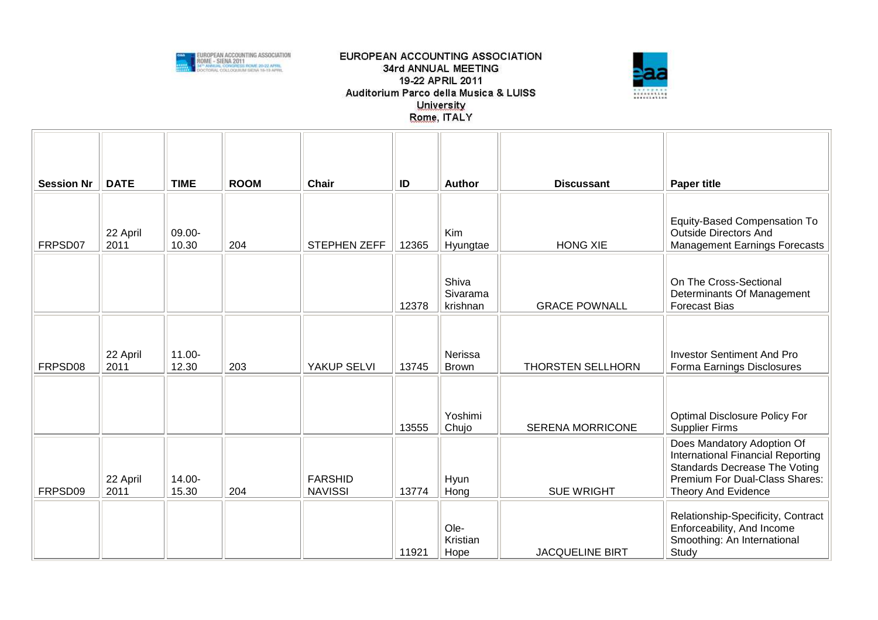



| <b>Session Nr</b> | <b>DATE</b>      | <b>TIME</b>        | <b>ROOM</b> | <b>Chair</b>                     | ID    | <b>Author</b>                 | <b>Discussant</b>       | <b>Paper title</b>                                                                                                                                               |
|-------------------|------------------|--------------------|-------------|----------------------------------|-------|-------------------------------|-------------------------|------------------------------------------------------------------------------------------------------------------------------------------------------------------|
| FRPSD07           | 22 April<br>2011 | 09.00-<br>10.30    | 204         | STEPHEN ZEFF                     | 12365 | Kim<br>Hyungtae               | <b>HONG XIE</b>         | Equity-Based Compensation To<br><b>Outside Directors And</b><br><b>Management Earnings Forecasts</b>                                                             |
|                   |                  |                    |             |                                  | 12378 | Shiva<br>Sivarama<br>krishnan | <b>GRACE POWNALL</b>    | On The Cross-Sectional<br>Determinants Of Management<br><b>Forecast Bias</b>                                                                                     |
| FRPSD08           | 22 April<br>2011 | $11.00 -$<br>12.30 | 203         | YAKUP SELVI                      | 13745 | Nerissa<br><b>Brown</b>       | THORSTEN SELLHORN       | <b>Investor Sentiment And Pro</b><br>Forma Earnings Disclosures                                                                                                  |
|                   |                  |                    |             |                                  | 13555 | Yoshimi<br>Chujo              | <b>SERENA MORRICONE</b> | <b>Optimal Disclosure Policy For</b><br><b>Supplier Firms</b>                                                                                                    |
| FRPSD09           | 22 April<br>2011 | 14.00-<br>15.30    | 204         | <b>FARSHID</b><br><b>NAVISSI</b> | 13774 | Hyun<br>Hong                  | <b>SUE WRIGHT</b>       | Does Mandatory Adoption Of<br>International Financial Reporting<br><b>Standards Decrease The Voting</b><br>Premium For Dual-Class Shares:<br>Theory And Evidence |
|                   |                  |                    |             |                                  | 11921 | Ole-<br>Kristian<br>Hope      | <b>JACQUELINE BIRT</b>  | Relationship-Specificity, Contract<br>Enforceability, And Income<br>Smoothing: An International<br>Study                                                         |